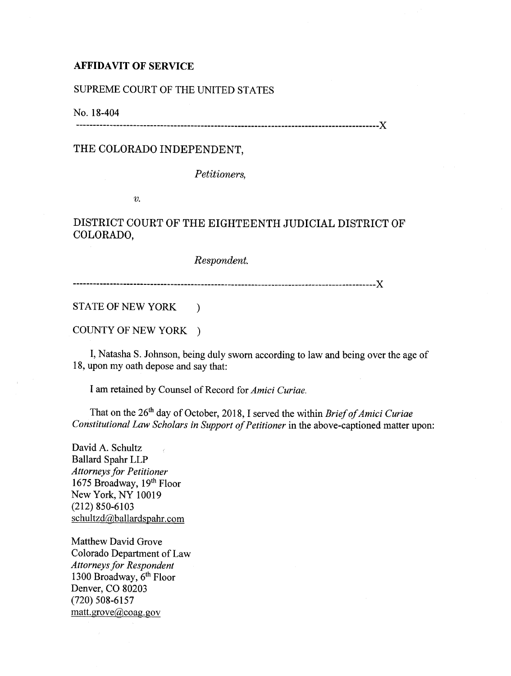## AFFIDAVIT OF SERVICE

SUPREME COURT OF THE UNITED STATES

No. 18-404 ------------------------------------------------------------------------------------------)(

## THE COLORADO INDEPENDENT,

*Petitioners,* 

*v.* 

## DISTRICT COURT OF THE EIGHTEENTH JUDICIAL DISTRICT OF COLORADO,

*Respondent.* 

------------------------------------------------------------------------------------------)(

STATE OF NEW YORK )

COUNTY OF NEW YORK )

I, Natasha S. Johnson, being duly sworn according to law and being over the age of 18, upon my oath depose and say that:

I am retained by Counsel of Record for *Amici Curiae.* 

That on the 26th day of October, 2018, I served the within *Brief of Amici Curiae Constitutional Law Scholars in Support of Petitioner* in the above-captioned matter upon:

David A. Schultz Ballard Spahr LLP *Attorneys for Petitioner*  1675 Broadway, 19th Floor New York, NY 10019 (212) 850-6103 schultzd@ballardspahr.com

Matthew David Grove Colorado Department of Law *Attorneys for Respondent*  1300 Broadway,  $6<sup>th</sup>$  Floor Denver, CO 80203 (720) 508-6157 matt.grove@coag.gov